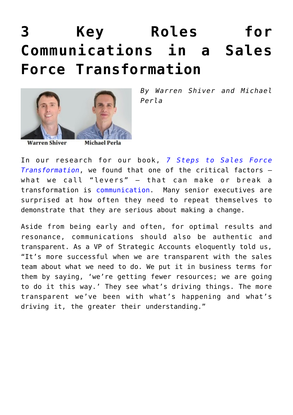## **[3 Key Roles for](https://www.commpro.biz/3-key-roles-for-communications-in-a-sales-force-transformation/) [Communications in a Sales](https://www.commpro.biz/3-key-roles-for-communications-in-a-sales-force-transformation/) [Force Transformation](https://www.commpro.biz/3-key-roles-for-communications-in-a-sales-force-transformation/)**



*By Warren Shiver and Michael Perla*

**Warren Shiver** 

**Michael Perla** 

In our research for our book, *[7 Steps to Sales Force](https://symmetricsgroup.com/sales-transformation/) [Transformation](https://symmetricsgroup.com/sales-transformation/)*, we found that one of the critical factors – what we call "levers" – that can make or break a transformation is [communication.](https://www.commpro.biz/) Many senior executives are surprised at how often they need to repeat themselves to demonstrate that they are serious about making a change.

Aside from being early and often, for optimal results and resonance, communications should also be authentic and transparent. As a VP of Strategic Accounts eloquently told us, "It's more successful when we are transparent with the sales team about what we need to do. We put it in business terms for them by saying, 'we're getting fewer resources; we are going to do it this way.' They see what's driving things. The more transparent we've been with what's happening and what's driving it, the greater their understanding."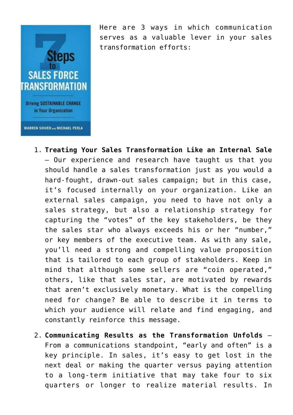

Here are 3 ways in which communication serves as a valuable lever in your sales transformation efforts:

- 1. **Treating Your Sales Transformation Like an Internal Sale** – Our experience and research have taught us that you should handle a sales transformation just as you would a hard-fought, drawn-out sales campaign; but in this case, it's focused internally on your organization. Like an external sales campaign, you need to have not only a sales strategy, but also a relationship strategy for capturing the "votes" of the key stakeholders, be they the sales star who always exceeds his or her "number," or key members of the executive team. As with any sale, you'll need a strong and compelling value proposition that is tailored to each group of stakeholders. Keep in mind that although some sellers are "coin operated," others, like that sales star, are motivated by rewards that aren't exclusively monetary. What is the compelling need for change? Be able to describe it in terms to which your audience will relate and find engaging, and constantly reinforce this message.
- 2. **Communicating Results as the Transformation Unfolds**  From a communications standpoint, "early and often" is a key principle. In sales, it's easy to get lost in the next deal or making the quarter versus paying attention to a long-term initiative that may take four to six quarters or longer to realize material results. In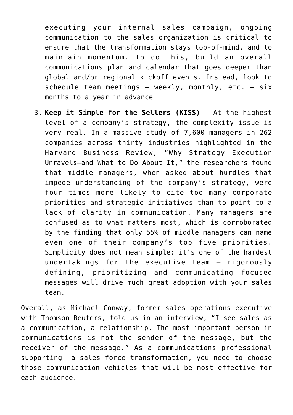executing your internal sales campaign, ongoing communication to the sales organization is critical to ensure that the transformation stays top-of-mind, and to maintain momentum. To do this, build an overall communications plan and calendar that goes deeper than global and/or regional kickoff events. Instead, look to schedule team meetings  $-$  weekly, monthly, etc.  $-$  six months to a year in advance

3. **Keep it Simple for the Sellers (KISS)** – At the highest level of a company's strategy, the complexity issue is very real. In a massive study of 7,600 managers in 262 companies across thirty industries highlighted in the Harvard Business Review, "Why Strategy Execution Unravels—and What to Do About It," the researchers found that middle managers, when asked about hurdles that impede understanding of the company's strategy, were four times more likely to cite too many corporate priorities and strategic initiatives than to point to a lack of clarity in communication. Many managers are confused as to what matters most, which is corroborated by the finding that only 55% of middle managers can name even one of their company's top five priorities. Simplicity does not mean simple; it's one of the hardest undertakings for the executive team – rigorously defining, prioritizing and communicating focused messages will drive much great adoption with your sales team.

Overall, as Michael Conway, former sales operations executive with Thomson Reuters, told us in an interview, "I see sales as a communication, a relationship. The most important person in communications is not the sender of the message, but the receiver of the message." As a communications professional supporting a sales force transformation, you need to choose those communication vehicles that will be most effective for each audience.